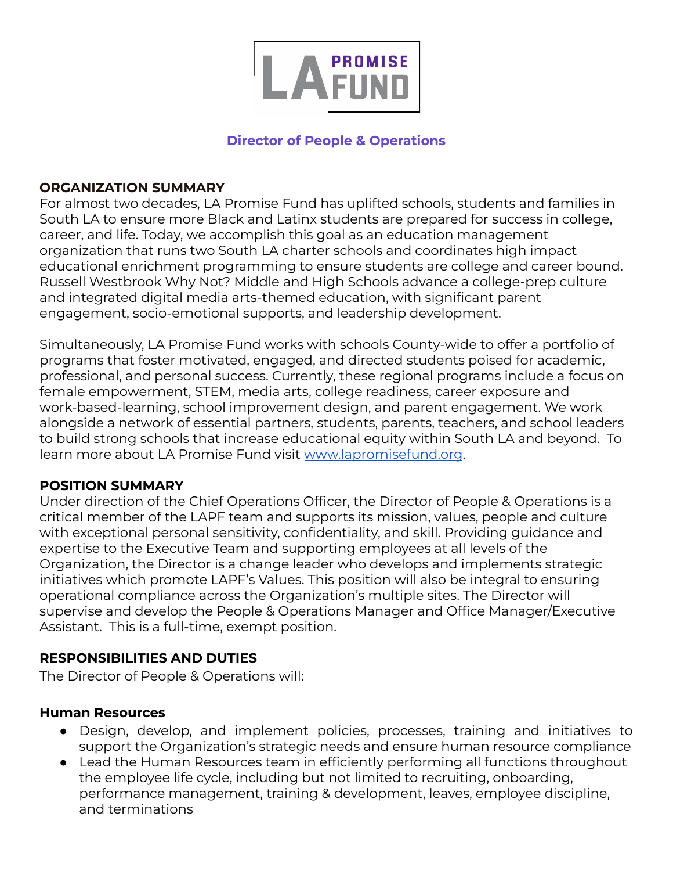

### **Director of People & Operations**

### **ORGANIZATION SUMMARY**

For almost two decades, LA Promise Fund has uplifted schools, students and families in South LA to ensure more Black and Latinx students are prepared for success in college, career, and life. Today, we accomplish this goal as an education management organization that runs two South LA charter schools and coordinates high impact educational enrichment programming to ensure students are college and career bound. Russell Westbrook Why Not? Middle and High Schools advance a college-prep culture and integrated digital media arts-themed education, with significant parent engagement, socio-emotional supports, and leadership development.

Simultaneously, LA Promise Fund works with schools County-wide to offer a portfolio of programs that foster motivated, engaged, and directed students poised for academic, professional, and personal success. Currently, these regional programs include a focus on female empowerment, STEM, media arts, college readiness, career exposure and work-based-learning, school improvement design, and parent engagement. We work alongside a network of essential partners, students, parents, teachers, and school leaders to build strong schools that increase educational equity within South LA and beyond. To learn more about LA Promise Fund visit [www.lapromisefund.org](http://www.lapromisefund.org).

### **POSITION SUMMARY**

Under direction of the Chief Operations Officer, the Director of People & Operations is a critical member of the LAPF team and supports its mission, values, people and culture with exceptional personal sensitivity, confidentiality, and skill. Providing guidance and expertise to the Executive Team and supporting employees at all levels of the Organization, the Director is a change leader who develops and implements strategic initiatives which promote LAPF's Values. This position will also be integral to ensuring operational compliance across the Organization's multiple sites. The Director will supervise and develop the People & Operations Manager and Office Manager/Executive Assistant. This is a full-time, exempt position.

### **RESPONSIBILITIES AND DUTIES**

The Director of People & Operations will:

### **Human Resources**

- Design, develop, and implement policies, processes, training and initiatives to support the Organization's strategic needs and ensure human resource compliance
- Lead the Human Resources team in efficiently performing all functions throughout the employee life cycle, including but not limited to recruiting, onboarding, performance management, training & development, leaves, employee discipline, and terminations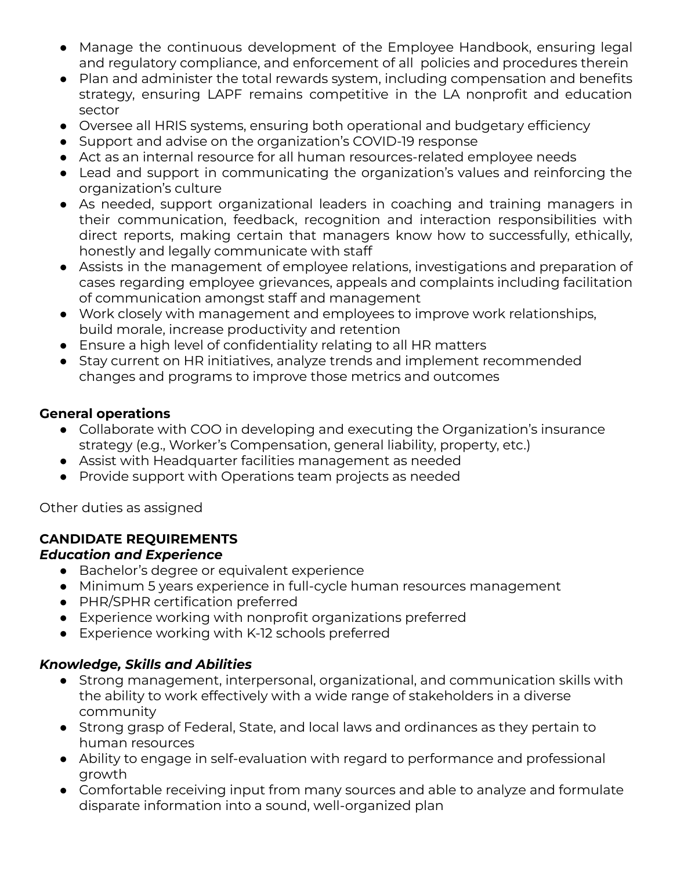- Manage the continuous development of the Employee Handbook, ensuring legal and regulatory compliance, and enforcement of all policies and procedures therein
- Plan and administer the total rewards system, including compensation and benefits strategy, ensuring LAPF remains competitive in the LA nonprofit and education sector
- Oversee all HRIS systems, ensuring both operational and budgetary efficiency
- Support and advise on the organization's COVID-19 response
- Act as an internal resource for all human resources-related employee needs
- Lead and support in communicating the organization's values and reinforcing the organization's culture
- As needed, support organizational leaders in coaching and training managers in their communication, feedback, recognition and interaction responsibilities with direct reports, making certain that managers know how to successfully, ethically, honestly and legally communicate with staff
- Assists in the management of employee relations, investigations and preparation of cases regarding employee grievances, appeals and complaints including facilitation of communication amongst staff and management
- Work closely with management and employees to improve work relationships, build morale, increase productivity and retention
- Ensure a high level of confidentiality relating to all HR matters
- Stay current on HR initiatives, analyze trends and implement recommended changes and programs to improve those metrics and outcomes

## **General operations**

- Collaborate with COO in developing and executing the Organization's insurance strategy (e.g., Worker's Compensation, general liability, property, etc.)
- Assist with Headquarter facilities management as needed
- Provide support with Operations team projects as needed

Other duties as assigned

# **CANDIDATE REQUIREMENTS**

### *Education and Experience*

- Bachelor's degree or equivalent experience
- Minimum 5 years experience in full-cycle human resources management
- PHR/SPHR certification preferred
- Experience working with nonprofit organizations preferred
- Experience working with K-12 schools preferred

# *Knowledge, Skills and Abilities*

- Strong management, interpersonal, organizational, and communication skills with the ability to work effectively with a wide range of stakeholders in a diverse community
- Strong grasp of Federal, State, and local laws and ordinances as they pertain to human resources
- Ability to engage in self-evaluation with regard to performance and professional growth
- Comfortable receiving input from many sources and able to analyze and formulate disparate information into a sound, well-organized plan